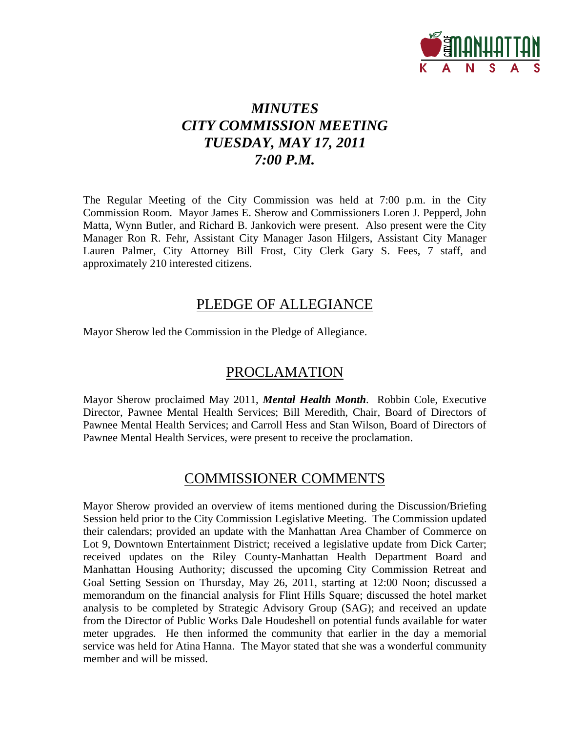

## *MINUTES CITY COMMISSION MEETING TUESDAY, MAY 17, 2011 7:00 P.M.*

The Regular Meeting of the City Commission was held at 7:00 p.m. in the City Commission Room. Mayor James E. Sherow and Commissioners Loren J. Pepperd, John Matta, Wynn Butler, and Richard B. Jankovich were present. Also present were the City Manager Ron R. Fehr, Assistant City Manager Jason Hilgers, Assistant City Manager Lauren Palmer, City Attorney Bill Frost, City Clerk Gary S. Fees, 7 staff, and approximately 210 interested citizens.

### PLEDGE OF ALLEGIANCE

Mayor Sherow led the Commission in the Pledge of Allegiance.

## PROCLAMATION

Mayor Sherow proclaimed May 2011, *Mental Health Month*. Robbin Cole, Executive Director, Pawnee Mental Health Services; Bill Meredith, Chair, Board of Directors of Pawnee Mental Health Services; and Carroll Hess and Stan Wilson, Board of Directors of Pawnee Mental Health Services, were present to receive the proclamation.

## COMMISSIONER COMMENTS

Mayor Sherow provided an overview of items mentioned during the Discussion/Briefing Session held prior to the City Commission Legislative Meeting. The Commission updated their calendars; provided an update with the Manhattan Area Chamber of Commerce on Lot 9, Downtown Entertainment District; received a legislative update from Dick Carter; received updates on the Riley County-Manhattan Health Department Board and Manhattan Housing Authority; discussed the upcoming City Commission Retreat and Goal Setting Session on Thursday, May 26, 2011, starting at 12:00 Noon; discussed a memorandum on the financial analysis for Flint Hills Square; discussed the hotel market analysis to be completed by Strategic Advisory Group (SAG); and received an update from the Director of Public Works Dale Houdeshell on potential funds available for water meter upgrades. He then informed the community that earlier in the day a memorial service was held for Atina Hanna. The Mayor stated that she was a wonderful community member and will be missed.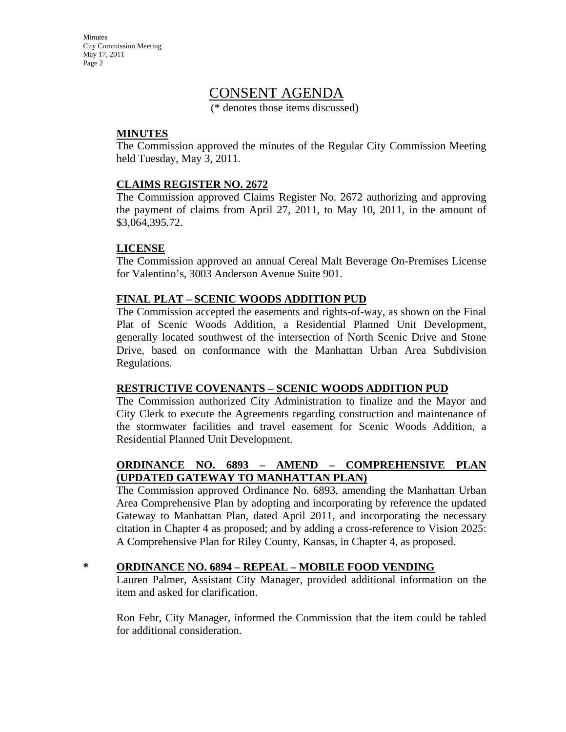**Minutes** City Commission Meeting May 17, 2011 Page 2

## CONSENT AGENDA

(\* denotes those items discussed)

### **MINUTES**

The Commission approved the minutes of the Regular City Commission Meeting held Tuesday, May 3, 2011.

### **CLAIMS REGISTER NO. 2672**

The Commission approved Claims Register No. 2672 authorizing and approving the payment of claims from April 27, 2011, to May 10, 2011, in the amount of \$3,064,395.72.

### **LICENSE**

The Commission approved an annual Cereal Malt Beverage On-Premises License for Valentino's, 3003 Anderson Avenue Suite 901.

### **FINAL PLAT – SCENIC WOODS ADDITION PUD**

The Commission accepted the easements and rights-of-way, as shown on the Final Plat of Scenic Woods Addition, a Residential Planned Unit Development, generally located southwest of the intersection of North Scenic Drive and Stone Drive, based on conformance with the Manhattan Urban Area Subdivision Regulations.

#### **RESTRICTIVE COVENANTS – SCENIC WOODS ADDITION PUD**

The Commission authorized City Administration to finalize and the Mayor and City Clerk to execute the Agreements regarding construction and maintenance of the stormwater facilities and travel easement for Scenic Woods Addition, a Residential Planned Unit Development.

### **ORDINANCE NO. 6893 – AMEND – COMPREHENSIVE PLAN (UPDATED GATEWAY TO MANHATTAN PLAN)**

The Commission approved Ordinance No. 6893, amending the Manhattan Urban Area Comprehensive Plan by adopting and incorporating by reference the updated Gateway to Manhattan Plan, dated April 2011, and incorporating the necessary citation in Chapter 4 as proposed; and by adding a cross-reference to Vision 2025: A Comprehensive Plan for Riley County, Kansas, in Chapter 4, as proposed.

### **\* ORDINANCE NO. 6894 – REPEAL – MOBILE FOOD VENDING**

Lauren Palmer, Assistant City Manager, provided additional information on the item and asked for clarification.

Ron Fehr, City Manager, informed the Commission that the item could be tabled for additional consideration.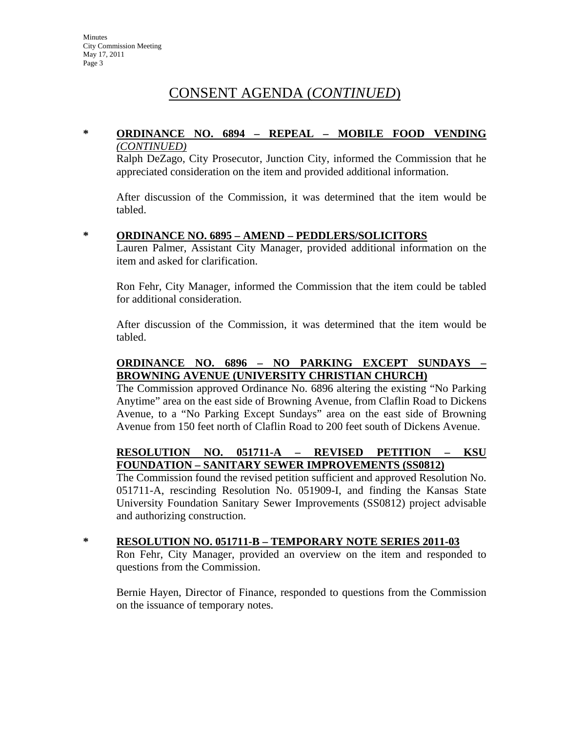### **\* ORDINANCE NO. 6894 – REPEAL – MOBILE FOOD VENDING** *(CONTINUED)*

Ralph DeZago, City Prosecutor, Junction City, informed the Commission that he appreciated consideration on the item and provided additional information.

After discussion of the Commission, it was determined that the item would be tabled.

### **\* ORDINANCE NO. 6895 – AMEND – PEDDLERS/SOLICITORS**

Lauren Palmer, Assistant City Manager, provided additional information on the item and asked for clarification.

Ron Fehr, City Manager, informed the Commission that the item could be tabled for additional consideration.

After discussion of the Commission, it was determined that the item would be tabled.

### **ORDINANCE NO. 6896 – NO PARKING EXCEPT SUNDAYS – BROWNING AVENUE (UNIVERSITY CHRISTIAN CHURCH)**

The Commission approved Ordinance No. 6896 altering the existing "No Parking Anytime" area on the east side of Browning Avenue, from Claflin Road to Dickens Avenue, to a "No Parking Except Sundays" area on the east side of Browning Avenue from 150 feet north of Claflin Road to 200 feet south of Dickens Avenue.

### **RESOLUTION NO. 051711-A – REVISED PETITION – KSU FOUNDATION – SANITARY SEWER IMPROVEMENTS (SS0812)**

The Commission found the revised petition sufficient and approved Resolution No. 051711-A, rescinding Resolution No. 051909-I, and finding the Kansas State University Foundation Sanitary Sewer Improvements (SS0812) project advisable and authorizing construction.

### **\* RESOLUTION NO. 051711-B – TEMPORARY NOTE SERIES 2011-03**

Ron Fehr, City Manager, provided an overview on the item and responded to questions from the Commission.

Bernie Hayen, Director of Finance, responded to questions from the Commission on the issuance of temporary notes.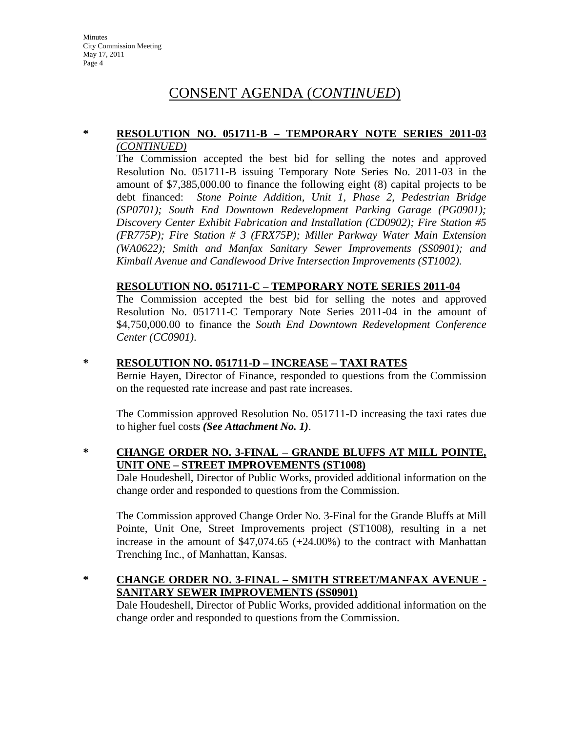#### **\* RESOLUTION NO. 051711-B – TEMPORARY NOTE SERIES 2011-03** *(CONTINUED)*

The Commission accepted the best bid for selling the notes and approved Resolution No. 051711-B issuing Temporary Note Series No. 2011-03 in the amount of \$7,385,000.00 to finance the following eight (8) capital projects to be debt financed: *Stone Pointe Addition, Unit 1, Phase 2, Pedestrian Bridge (SP0701); South End Downtown Redevelopment Parking Garage (PG0901); Discovery Center Exhibit Fabrication and Installation (CD0902); Fire Station #5 (FR775P); Fire Station # 3 (FRX75P); Miller Parkway Water Main Extension (WA0622); Smith and Manfax Sanitary Sewer Improvements (SS0901); and Kimball Avenue and Candlewood Drive Intersection Improvements (ST1002).*

#### **RESOLUTION NO. 051711-C – TEMPORARY NOTE SERIES 2011-04**

The Commission accepted the best bid for selling the notes and approved Resolution No. 051711-C Temporary Note Series 2011-04 in the amount of \$4,750,000.00 to finance the *South End Downtown Redevelopment Conference Center (CC0901)*.

#### **\* RESOLUTION NO. 051711-D – INCREASE – TAXI RATES**

Bernie Hayen, Director of Finance, responded to questions from the Commission on the requested rate increase and past rate increases.

The Commission approved Resolution No. 051711-D increasing the taxi rates due to higher fuel costs *(See Attachment No. 1)*.

#### **\* CHANGE ORDER NO. 3-FINAL – GRANDE BLUFFS AT MILL POINTE, UNIT ONE – STREET IMPROVEMENTS (ST1008)**

Dale Houdeshell, Director of Public Works, provided additional information on the change order and responded to questions from the Commission.

The Commission approved Change Order No. 3-Final for the Grande Bluffs at Mill Pointe, Unit One, Street Improvements project (ST1008), resulting in a net increase in the amount of \$47,074.65 (+24.00%) to the contract with Manhattan Trenching Inc., of Manhattan, Kansas.

#### **\* CHANGE ORDER NO. 3-FINAL – SMITH STREET/MANFAX AVENUE - SANITARY SEWER IMPROVEMENTS (SS0901)**

Dale Houdeshell, Director of Public Works, provided additional information on the change order and responded to questions from the Commission.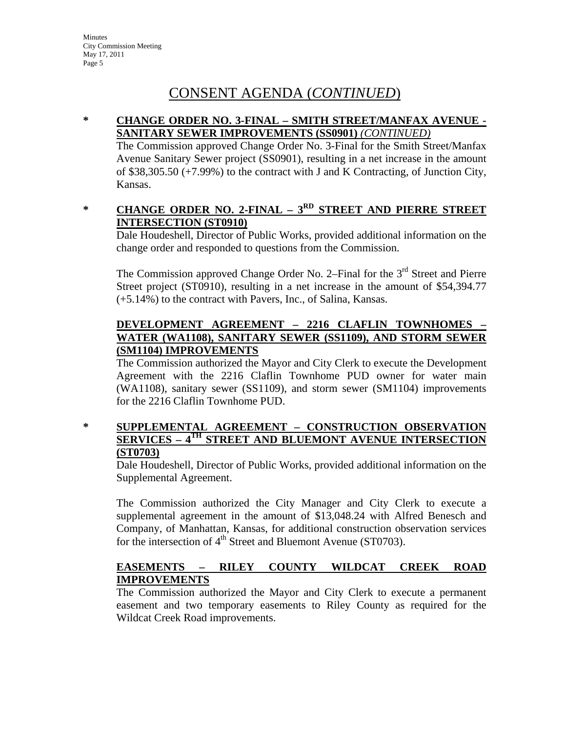### **\* CHANGE ORDER NO. 3-FINAL – SMITH STREET/MANFAX AVENUE - SANITARY SEWER IMPROVEMENTS (SS0901)** *(CONTINUED)*

The Commission approved Change Order No. 3-Final for the Smith Street/Manfax Avenue Sanitary Sewer project (SS0901), resulting in a net increase in the amount of \$38,305.50 (+7.99%) to the contract with J and K Contracting, of Junction City, Kansas.

### **\* CHANGE ORDER NO. 2-FINAL – 3RD STREET AND PIERRE STREET INTERSECTION (ST0910)**

Dale Houdeshell, Director of Public Works, provided additional information on the change order and responded to questions from the Commission.

The Commission approved Change Order No. 2–Final for the  $3<sup>rd</sup>$  Street and Pierre Street project (ST0910), resulting in a net increase in the amount of \$54,394.77 (+5.14%) to the contract with Pavers, Inc., of Salina, Kansas.

### **DEVELOPMENT AGREEMENT – 2216 CLAFLIN TOWNHOMES – WATER (WA1108), SANITARY SEWER (SS1109), AND STORM SEWER (SM1104) IMPROVEMENTS**

The Commission authorized the Mayor and City Clerk to execute the Development Agreement with the 2216 Claflin Townhome PUD owner for water main (WA1108), sanitary sewer (SS1109), and storm sewer (SM1104) improvements for the 2216 Claflin Townhome PUD.

### **\* SUPPLEMENTAL AGREEMENT – CONSTRUCTION OBSERVATION SERVICES – 4TH STREET AND BLUEMONT AVENUE INTERSECTION (ST0703)**

Dale Houdeshell, Director of Public Works, provided additional information on the Supplemental Agreement.

The Commission authorized the City Manager and City Clerk to execute a supplemental agreement in the amount of \$13,048.24 with Alfred Benesch and Company, of Manhattan, Kansas, for additional construction observation services for the intersection of  $4<sup>th</sup>$  Street and Bluemont Avenue (ST0703).

### **EASEMENTS – RILEY COUNTY WILDCAT CREEK ROAD IMPROVEMENTS**

The Commission authorized the Mayor and City Clerk to execute a permanent easement and two temporary easements to Riley County as required for the Wildcat Creek Road improvements.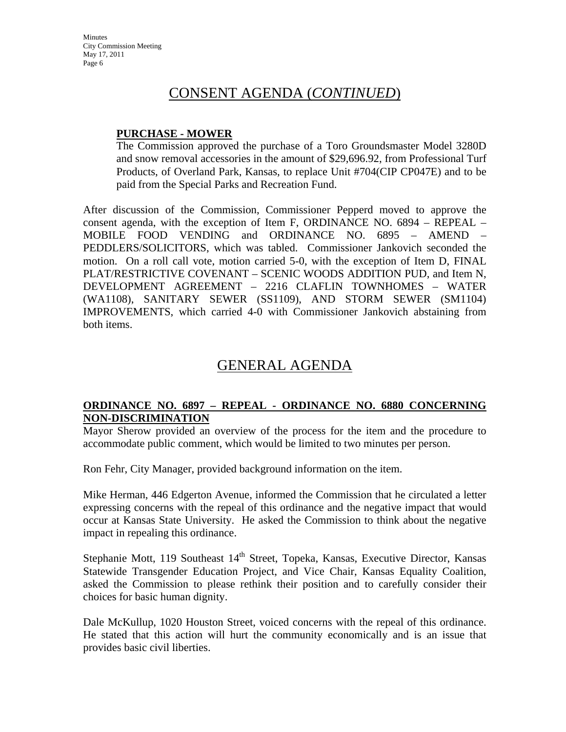### **PURCHASE - MOWER**

The Commission approved the purchase of a Toro Groundsmaster Model 3280D and snow removal accessories in the amount of \$29,696.92, from Professional Turf Products, of Overland Park, Kansas, to replace Unit #704(CIP CP047E) and to be paid from the Special Parks and Recreation Fund.

After discussion of the Commission, Commissioner Pepperd moved to approve the consent agenda, with the exception of Item F, ORDINANCE NO. 6894 – REPEAL – MOBILE FOOD VENDING and ORDINANCE NO. 6895 – AMEND – PEDDLERS/SOLICITORS, which was tabled. Commissioner Jankovich seconded the motion. On a roll call vote, motion carried 5-0, with the exception of Item D, FINAL PLAT/RESTRICTIVE COVENANT – SCENIC WOODS ADDITION PUD, and Item N, DEVELOPMENT AGREEMENT – 2216 CLAFLIN TOWNHOMES – WATER (WA1108), SANITARY SEWER (SS1109), AND STORM SEWER (SM1104) IMPROVEMENTS, which carried 4-0 with Commissioner Jankovich abstaining from both items.

## GENERAL AGENDA

### **ORDINANCE NO. 6897 – REPEAL - ORDINANCE NO. 6880 CONCERNING NON-DISCRIMINATION**

Mayor Sherow provided an overview of the process for the item and the procedure to accommodate public comment, which would be limited to two minutes per person.

Ron Fehr, City Manager, provided background information on the item.

Mike Herman, 446 Edgerton Avenue, informed the Commission that he circulated a letter expressing concerns with the repeal of this ordinance and the negative impact that would occur at Kansas State University. He asked the Commission to think about the negative impact in repealing this ordinance.

Stephanie Mott, 119 Southeast  $14<sup>th</sup>$  Street, Topeka, Kansas, Executive Director, Kansas Statewide Transgender Education Project, and Vice Chair, Kansas Equality Coalition, asked the Commission to please rethink their position and to carefully consider their choices for basic human dignity.

Dale McKullup, 1020 Houston Street, voiced concerns with the repeal of this ordinance. He stated that this action will hurt the community economically and is an issue that provides basic civil liberties.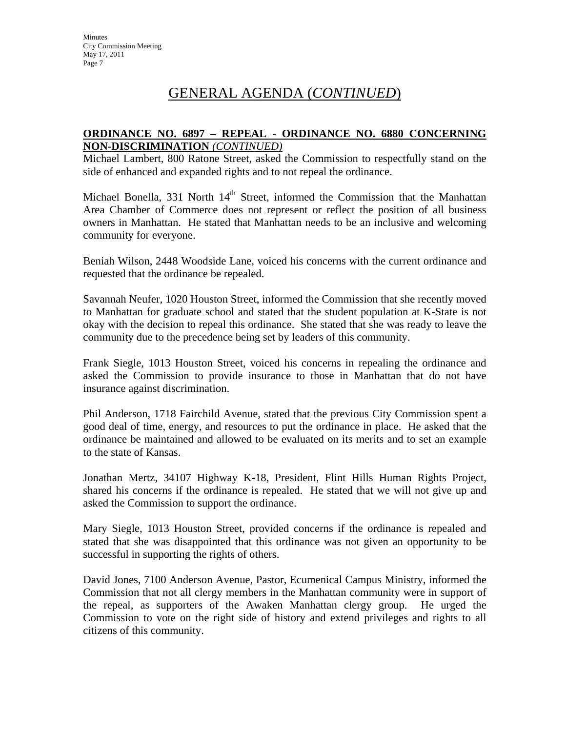### **ORDINANCE NO. 6897 – REPEAL - ORDINANCE NO. 6880 CONCERNING NON-DISCRIMINATION** *(CONTINUED)*

Michael Lambert, 800 Ratone Street, asked the Commission to respectfully stand on the side of enhanced and expanded rights and to not repeal the ordinance.

Michael Bonella, 331 North  $14<sup>th</sup>$  Street, informed the Commission that the Manhattan Area Chamber of Commerce does not represent or reflect the position of all business owners in Manhattan. He stated that Manhattan needs to be an inclusive and welcoming community for everyone.

Beniah Wilson, 2448 Woodside Lane, voiced his concerns with the current ordinance and requested that the ordinance be repealed.

Savannah Neufer, 1020 Houston Street, informed the Commission that she recently moved to Manhattan for graduate school and stated that the student population at K-State is not okay with the decision to repeal this ordinance. She stated that she was ready to leave the community due to the precedence being set by leaders of this community.

Frank Siegle, 1013 Houston Street, voiced his concerns in repealing the ordinance and asked the Commission to provide insurance to those in Manhattan that do not have insurance against discrimination.

Phil Anderson, 1718 Fairchild Avenue, stated that the previous City Commission spent a good deal of time, energy, and resources to put the ordinance in place. He asked that the ordinance be maintained and allowed to be evaluated on its merits and to set an example to the state of Kansas.

Jonathan Mertz, 34107 Highway K-18, President, Flint Hills Human Rights Project, shared his concerns if the ordinance is repealed. He stated that we will not give up and asked the Commission to support the ordinance.

Mary Siegle, 1013 Houston Street, provided concerns if the ordinance is repealed and stated that she was disappointed that this ordinance was not given an opportunity to be successful in supporting the rights of others.

David Jones, 7100 Anderson Avenue, Pastor, Ecumenical Campus Ministry, informed the Commission that not all clergy members in the Manhattan community were in support of the repeal, as supporters of the Awaken Manhattan clergy group. He urged the Commission to vote on the right side of history and extend privileges and rights to all citizens of this community.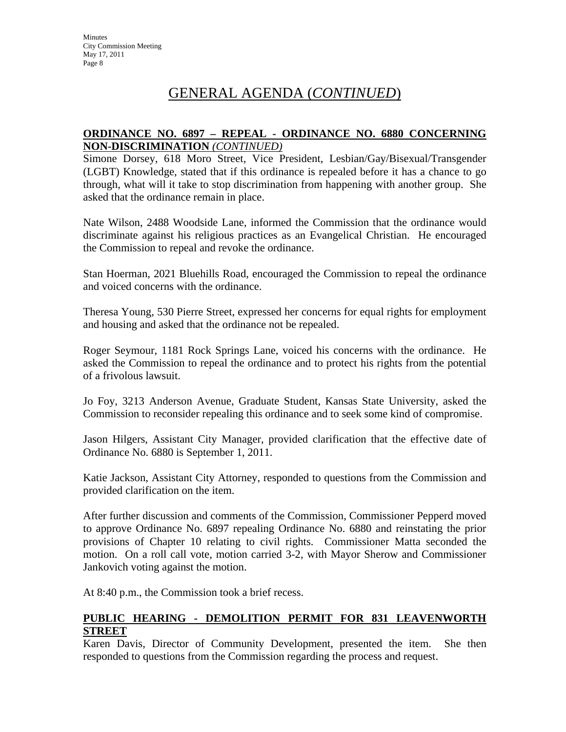### **ORDINANCE NO. 6897 – REPEAL - ORDINANCE NO. 6880 CONCERNING NON-DISCRIMINATION** *(CONTINUED)*

Simone Dorsey, 618 Moro Street, Vice President, Lesbian/Gay/Bisexual/Transgender (LGBT) Knowledge, stated that if this ordinance is repealed before it has a chance to go through, what will it take to stop discrimination from happening with another group. She asked that the ordinance remain in place.

Nate Wilson, 2488 Woodside Lane, informed the Commission that the ordinance would discriminate against his religious practices as an Evangelical Christian. He encouraged the Commission to repeal and revoke the ordinance.

Stan Hoerman, 2021 Bluehills Road, encouraged the Commission to repeal the ordinance and voiced concerns with the ordinance.

Theresa Young, 530 Pierre Street, expressed her concerns for equal rights for employment and housing and asked that the ordinance not be repealed.

Roger Seymour, 1181 Rock Springs Lane, voiced his concerns with the ordinance. He asked the Commission to repeal the ordinance and to protect his rights from the potential of a frivolous lawsuit.

Jo Foy, 3213 Anderson Avenue, Graduate Student, Kansas State University, asked the Commission to reconsider repealing this ordinance and to seek some kind of compromise.

Jason Hilgers, Assistant City Manager, provided clarification that the effective date of Ordinance No. 6880 is September 1, 2011.

Katie Jackson, Assistant City Attorney, responded to questions from the Commission and provided clarification on the item.

After further discussion and comments of the Commission, Commissioner Pepperd moved to approve Ordinance No. 6897 repealing Ordinance No. 6880 and reinstating the prior provisions of Chapter 10 relating to civil rights. Commissioner Matta seconded the motion. On a roll call vote, motion carried 3-2, with Mayor Sherow and Commissioner Jankovich voting against the motion.

At 8:40 p.m., the Commission took a brief recess.

### **PUBLIC HEARING - DEMOLITION PERMIT FOR 831 LEAVENWORTH STREET**

Karen Davis, Director of Community Development, presented the item. She then responded to questions from the Commission regarding the process and request.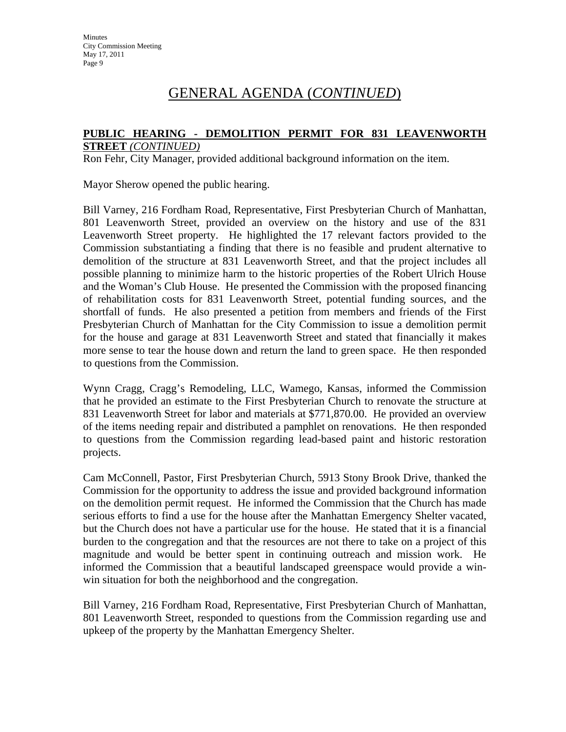#### **PUBLIC HEARING - DEMOLITION PERMIT FOR 831 LEAVENWORTH STREET** *(CONTINUED)*

Ron Fehr, City Manager, provided additional background information on the item.

Mayor Sherow opened the public hearing.

Bill Varney, 216 Fordham Road, Representative, First Presbyterian Church of Manhattan, 801 Leavenworth Street, provided an overview on the history and use of the 831 Leavenworth Street property. He highlighted the 17 relevant factors provided to the Commission substantiating a finding that there is no feasible and prudent alternative to demolition of the structure at 831 Leavenworth Street, and that the project includes all possible planning to minimize harm to the historic properties of the Robert Ulrich House and the Woman's Club House. He presented the Commission with the proposed financing of rehabilitation costs for 831 Leavenworth Street, potential funding sources, and the shortfall of funds. He also presented a petition from members and friends of the First Presbyterian Church of Manhattan for the City Commission to issue a demolition permit for the house and garage at 831 Leavenworth Street and stated that financially it makes more sense to tear the house down and return the land to green space. He then responded to questions from the Commission.

Wynn Cragg, Cragg's Remodeling, LLC, Wamego, Kansas, informed the Commission that he provided an estimate to the First Presbyterian Church to renovate the structure at 831 Leavenworth Street for labor and materials at \$771,870.00. He provided an overview of the items needing repair and distributed a pamphlet on renovations. He then responded to questions from the Commission regarding lead-based paint and historic restoration projects.

Cam McConnell, Pastor, First Presbyterian Church, 5913 Stony Brook Drive, thanked the Commission for the opportunity to address the issue and provided background information on the demolition permit request. He informed the Commission that the Church has made serious efforts to find a use for the house after the Manhattan Emergency Shelter vacated, but the Church does not have a particular use for the house. He stated that it is a financial burden to the congregation and that the resources are not there to take on a project of this magnitude and would be better spent in continuing outreach and mission work. He informed the Commission that a beautiful landscaped greenspace would provide a winwin situation for both the neighborhood and the congregation.

Bill Varney, 216 Fordham Road, Representative, First Presbyterian Church of Manhattan, 801 Leavenworth Street, responded to questions from the Commission regarding use and upkeep of the property by the Manhattan Emergency Shelter.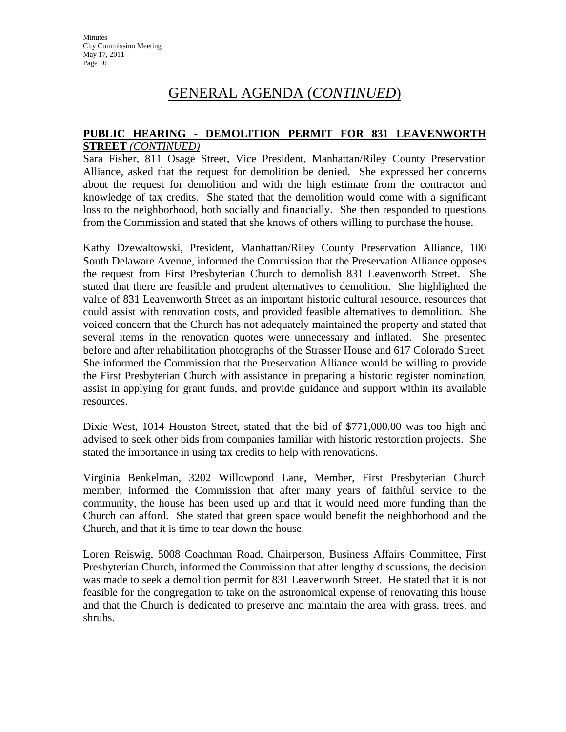#### **PUBLIC HEARING - DEMOLITION PERMIT FOR 831 LEAVENWORTH STREET** *(CONTINUED)*

Sara Fisher, 811 Osage Street, Vice President, Manhattan/Riley County Preservation Alliance, asked that the request for demolition be denied. She expressed her concerns about the request for demolition and with the high estimate from the contractor and knowledge of tax credits. She stated that the demolition would come with a significant loss to the neighborhood, both socially and financially. She then responded to questions from the Commission and stated that she knows of others willing to purchase the house.

Kathy Dzewaltowski, President, Manhattan/Riley County Preservation Alliance, 100 South Delaware Avenue, informed the Commission that the Preservation Alliance opposes the request from First Presbyterian Church to demolish 831 Leavenworth Street. She stated that there are feasible and prudent alternatives to demolition. She highlighted the value of 831 Leavenworth Street as an important historic cultural resource, resources that could assist with renovation costs, and provided feasible alternatives to demolition. She voiced concern that the Church has not adequately maintained the property and stated that several items in the renovation quotes were unnecessary and inflated. She presented before and after rehabilitation photographs of the Strasser House and 617 Colorado Street. She informed the Commission that the Preservation Alliance would be willing to provide the First Presbyterian Church with assistance in preparing a historic register nomination, assist in applying for grant funds, and provide guidance and support within its available resources.

Dixie West, 1014 Houston Street, stated that the bid of \$771,000.00 was too high and advised to seek other bids from companies familiar with historic restoration projects. She stated the importance in using tax credits to help with renovations.

Virginia Benkelman, 3202 Willowpond Lane, Member, First Presbyterian Church member, informed the Commission that after many years of faithful service to the community, the house has been used up and that it would need more funding than the Church can afford. She stated that green space would benefit the neighborhood and the Church, and that it is time to tear down the house.

Loren Reiswig, 5008 Coachman Road, Chairperson, Business Affairs Committee, First Presbyterian Church, informed the Commission that after lengthy discussions, the decision was made to seek a demolition permit for 831 Leavenworth Street. He stated that it is not feasible for the congregation to take on the astronomical expense of renovating this house and that the Church is dedicated to preserve and maintain the area with grass, trees, and shrubs.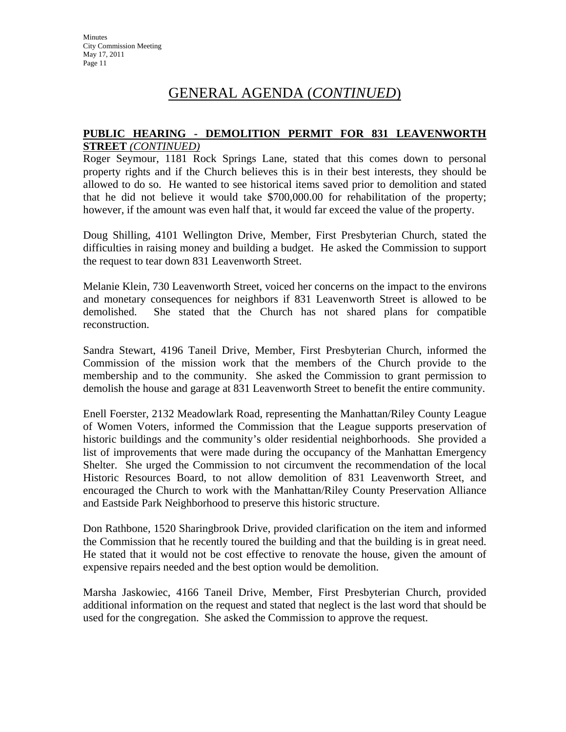#### **PUBLIC HEARING - DEMOLITION PERMIT FOR 831 LEAVENWORTH STREET** *(CONTINUED)*

Roger Seymour, 1181 Rock Springs Lane, stated that this comes down to personal property rights and if the Church believes this is in their best interests, they should be allowed to do so. He wanted to see historical items saved prior to demolition and stated that he did not believe it would take \$700,000.00 for rehabilitation of the property; however, if the amount was even half that, it would far exceed the value of the property.

Doug Shilling, 4101 Wellington Drive, Member, First Presbyterian Church, stated the difficulties in raising money and building a budget. He asked the Commission to support the request to tear down 831 Leavenworth Street.

Melanie Klein, 730 Leavenworth Street, voiced her concerns on the impact to the environs and monetary consequences for neighbors if 831 Leavenworth Street is allowed to be demolished. She stated that the Church has not shared plans for compatible reconstruction.

Sandra Stewart, 4196 Taneil Drive, Member, First Presbyterian Church, informed the Commission of the mission work that the members of the Church provide to the membership and to the community. She asked the Commission to grant permission to demolish the house and garage at 831 Leavenworth Street to benefit the entire community.

Enell Foerster, 2132 Meadowlark Road, representing the Manhattan/Riley County League of Women Voters, informed the Commission that the League supports preservation of historic buildings and the community's older residential neighborhoods. She provided a list of improvements that were made during the occupancy of the Manhattan Emergency Shelter. She urged the Commission to not circumvent the recommendation of the local Historic Resources Board, to not allow demolition of 831 Leavenworth Street, and encouraged the Church to work with the Manhattan/Riley County Preservation Alliance and Eastside Park Neighborhood to preserve this historic structure.

Don Rathbone, 1520 Sharingbrook Drive, provided clarification on the item and informed the Commission that he recently toured the building and that the building is in great need. He stated that it would not be cost effective to renovate the house, given the amount of expensive repairs needed and the best option would be demolition.

Marsha Jaskowiec, 4166 Taneil Drive, Member, First Presbyterian Church, provided additional information on the request and stated that neglect is the last word that should be used for the congregation. She asked the Commission to approve the request.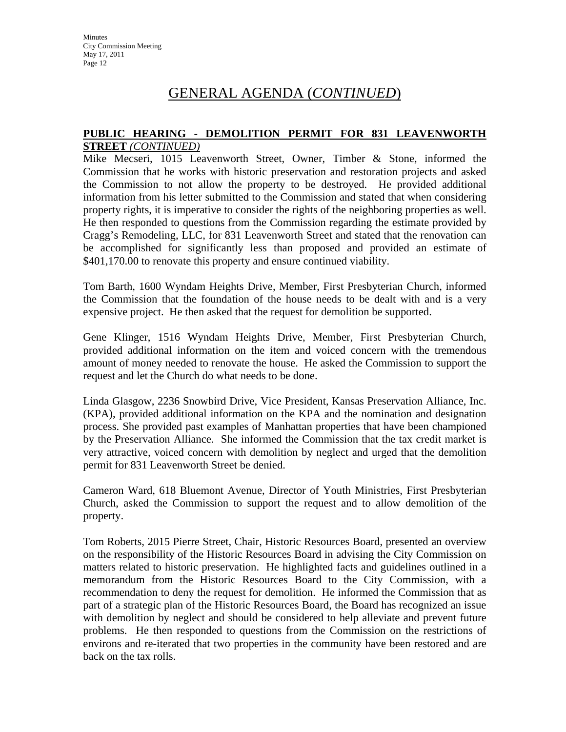#### **PUBLIC HEARING - DEMOLITION PERMIT FOR 831 LEAVENWORTH STREET** *(CONTINUED)*

Mike Mecseri, 1015 Leavenworth Street, Owner, Timber & Stone, informed the Commission that he works with historic preservation and restoration projects and asked the Commission to not allow the property to be destroyed. He provided additional information from his letter submitted to the Commission and stated that when considering property rights, it is imperative to consider the rights of the neighboring properties as well. He then responded to questions from the Commission regarding the estimate provided by Cragg's Remodeling, LLC, for 831 Leavenworth Street and stated that the renovation can be accomplished for significantly less than proposed and provided an estimate of \$401,170.00 to renovate this property and ensure continued viability.

Tom Barth, 1600 Wyndam Heights Drive, Member, First Presbyterian Church, informed the Commission that the foundation of the house needs to be dealt with and is a very expensive project. He then asked that the request for demolition be supported.

Gene Klinger, 1516 Wyndam Heights Drive, Member, First Presbyterian Church, provided additional information on the item and voiced concern with the tremendous amount of money needed to renovate the house. He asked the Commission to support the request and let the Church do what needs to be done.

Linda Glasgow, 2236 Snowbird Drive, Vice President, Kansas Preservation Alliance, Inc. (KPA), provided additional information on the KPA and the nomination and designation process. She provided past examples of Manhattan properties that have been championed by the Preservation Alliance. She informed the Commission that the tax credit market is very attractive, voiced concern with demolition by neglect and urged that the demolition permit for 831 Leavenworth Street be denied.

Cameron Ward, 618 Bluemont Avenue, Director of Youth Ministries, First Presbyterian Church, asked the Commission to support the request and to allow demolition of the property.

Tom Roberts, 2015 Pierre Street, Chair, Historic Resources Board, presented an overview on the responsibility of the Historic Resources Board in advising the City Commission on matters related to historic preservation. He highlighted facts and guidelines outlined in a memorandum from the Historic Resources Board to the City Commission, with a recommendation to deny the request for demolition. He informed the Commission that as part of a strategic plan of the Historic Resources Board, the Board has recognized an issue with demolition by neglect and should be considered to help alleviate and prevent future problems. He then responded to questions from the Commission on the restrictions of environs and re-iterated that two properties in the community have been restored and are back on the tax rolls.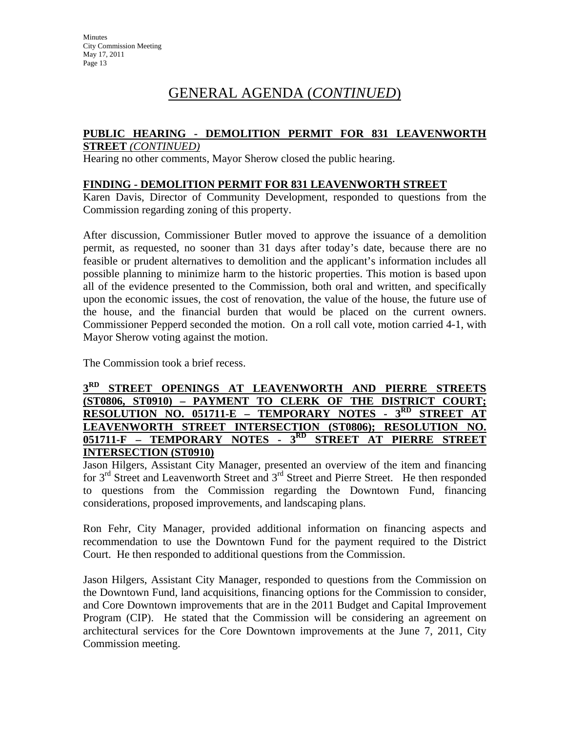#### **PUBLIC HEARING - DEMOLITION PERMIT FOR 831 LEAVENWORTH STREET** *(CONTINUED)*

Hearing no other comments, Mayor Sherow closed the public hearing.

### **FINDING - DEMOLITION PERMIT FOR 831 LEAVENWORTH STREET**

Karen Davis, Director of Community Development, responded to questions from the Commission regarding zoning of this property.

After discussion, Commissioner Butler moved to approve the issuance of a demolition permit, as requested, no sooner than 31 days after today's date, because there are no feasible or prudent alternatives to demolition and the applicant's information includes all possible planning to minimize harm to the historic properties. This motion is based upon all of the evidence presented to the Commission, both oral and written, and specifically upon the economic issues, the cost of renovation, the value of the house, the future use of the house, and the financial burden that would be placed on the current owners. Commissioner Pepperd seconded the motion. On a roll call vote, motion carried 4-1, with Mayor Sherow voting against the motion.

The Commission took a brief recess.

**3RD STREET OPENINGS AT LEAVENWORTH AND PIERRE STREETS (ST0806, ST0910) – PAYMENT TO CLERK OF THE DISTRICT COURT; RESOLUTION NO. 051711-E – TEMPORARY NOTES - 3RD STREET AT LEAVENWORTH STREET INTERSECTION (ST0806); RESOLUTION NO. 051711-F – TEMPORARY NOTES - 3RD STREET AT PIERRE STREET INTERSECTION (ST0910)**

Jason Hilgers, Assistant City Manager, presented an overview of the item and financing for  $3<sup>rd</sup>$  Street and Leavenworth Street and  $3<sup>rd</sup>$  Street and Pierre Street. He then responded to questions from the Commission regarding the Downtown Fund, financing considerations, proposed improvements, and landscaping plans.

Ron Fehr, City Manager, provided additional information on financing aspects and recommendation to use the Downtown Fund for the payment required to the District Court. He then responded to additional questions from the Commission.

Jason Hilgers, Assistant City Manager, responded to questions from the Commission on the Downtown Fund, land acquisitions, financing options for the Commission to consider, and Core Downtown improvements that are in the 2011 Budget and Capital Improvement Program (CIP). He stated that the Commission will be considering an agreement on architectural services for the Core Downtown improvements at the June 7, 2011, City Commission meeting.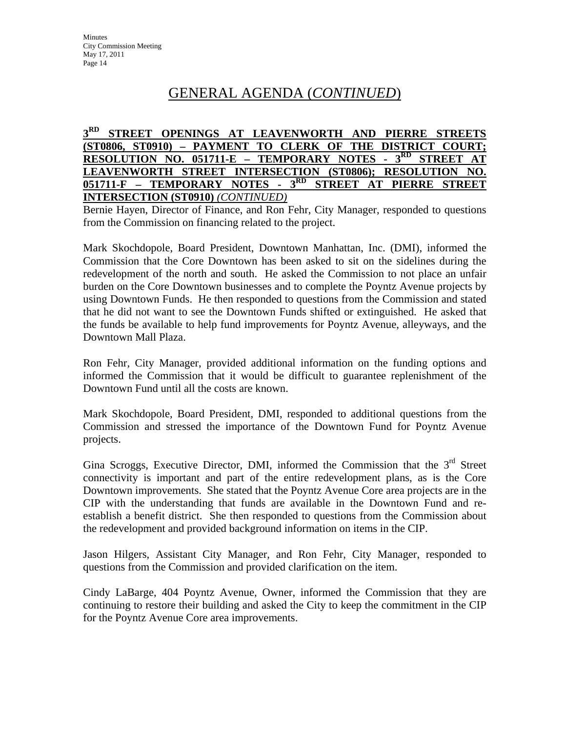### **3RD STREET OPENINGS AT LEAVENWORTH AND PIERRE STREETS (ST0806, ST0910) – PAYMENT TO CLERK OF THE DISTRICT COURT; RESOLUTION NO. 051711-E – TEMPORARY NOTES - 3RD STREET AT LEAVENWORTH STREET INTERSECTION (ST0806); RESOLUTION NO. 051711-F – TEMPORARY NOTES - 3RD STREET AT PIERRE STREET INTERSECTION (ST0910)** *(CONTINUED)*

Bernie Hayen, Director of Finance, and Ron Fehr, City Manager, responded to questions from the Commission on financing related to the project.

Mark Skochdopole, Board President, Downtown Manhattan, Inc. (DMI), informed the Commission that the Core Downtown has been asked to sit on the sidelines during the redevelopment of the north and south. He asked the Commission to not place an unfair burden on the Core Downtown businesses and to complete the Poyntz Avenue projects by using Downtown Funds. He then responded to questions from the Commission and stated that he did not want to see the Downtown Funds shifted or extinguished. He asked that the funds be available to help fund improvements for Poyntz Avenue, alleyways, and the Downtown Mall Plaza.

Ron Fehr, City Manager, provided additional information on the funding options and informed the Commission that it would be difficult to guarantee replenishment of the Downtown Fund until all the costs are known.

Mark Skochdopole, Board President, DMI, responded to additional questions from the Commission and stressed the importance of the Downtown Fund for Poyntz Avenue projects.

Gina Scroggs, Executive Director, DMI, informed the Commission that the  $3<sup>rd</sup>$  Street connectivity is important and part of the entire redevelopment plans, as is the Core Downtown improvements. She stated that the Poyntz Avenue Core area projects are in the CIP with the understanding that funds are available in the Downtown Fund and reestablish a benefit district. She then responded to questions from the Commission about the redevelopment and provided background information on items in the CIP.

Jason Hilgers, Assistant City Manager, and Ron Fehr, City Manager, responded to questions from the Commission and provided clarification on the item.

Cindy LaBarge, 404 Poyntz Avenue, Owner, informed the Commission that they are continuing to restore their building and asked the City to keep the commitment in the CIP for the Poyntz Avenue Core area improvements.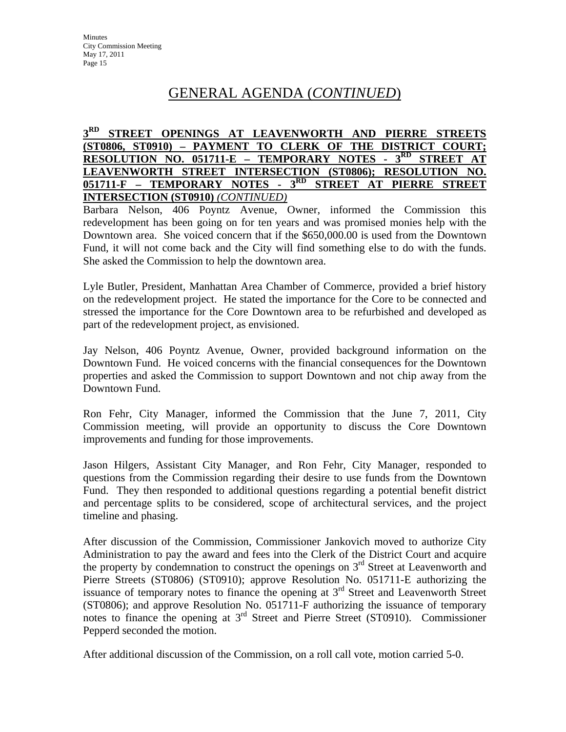### **3RD STREET OPENINGS AT LEAVENWORTH AND PIERRE STREETS (ST0806, ST0910) – PAYMENT TO CLERK OF THE DISTRICT COURT; RESOLUTION NO. 051711-E – TEMPORARY NOTES - 3RD STREET AT LEAVENWORTH STREET INTERSECTION (ST0806); RESOLUTION NO. 051711-F – TEMPORARY NOTES - 3RD STREET AT PIERRE STREET INTERSECTION (ST0910)** *(CONTINUED)*

Barbara Nelson, 406 Poyntz Avenue, Owner, informed the Commission this redevelopment has been going on for ten years and was promised monies help with the Downtown area. She voiced concern that if the \$650,000.00 is used from the Downtown Fund, it will not come back and the City will find something else to do with the funds. She asked the Commission to help the downtown area.

Lyle Butler, President, Manhattan Area Chamber of Commerce, provided a brief history on the redevelopment project. He stated the importance for the Core to be connected and stressed the importance for the Core Downtown area to be refurbished and developed as part of the redevelopment project, as envisioned.

Jay Nelson, 406 Poyntz Avenue, Owner, provided background information on the Downtown Fund. He voiced concerns with the financial consequences for the Downtown properties and asked the Commission to support Downtown and not chip away from the Downtown Fund.

Ron Fehr, City Manager, informed the Commission that the June 7, 2011, City Commission meeting, will provide an opportunity to discuss the Core Downtown improvements and funding for those improvements.

Jason Hilgers, Assistant City Manager, and Ron Fehr, City Manager, responded to questions from the Commission regarding their desire to use funds from the Downtown Fund. They then responded to additional questions regarding a potential benefit district and percentage splits to be considered, scope of architectural services, and the project timeline and phasing.

After discussion of the Commission, Commissioner Jankovich moved to authorize City Administration to pay the award and fees into the Clerk of the District Court and acquire the property by condemnation to construct the openings on 3<sup>rd</sup> Street at Leavenworth and Pierre Streets (ST0806) (ST0910); approve Resolution No. 051711-E authorizing the issuance of temporary notes to finance the opening at  $3<sup>rd</sup>$  Street and Leavenworth Street (ST0806); and approve Resolution No. 051711-F authorizing the issuance of temporary notes to finance the opening at 3rd Street and Pierre Street (ST0910). Commissioner Pepperd seconded the motion.

After additional discussion of the Commission, on a roll call vote, motion carried 5-0.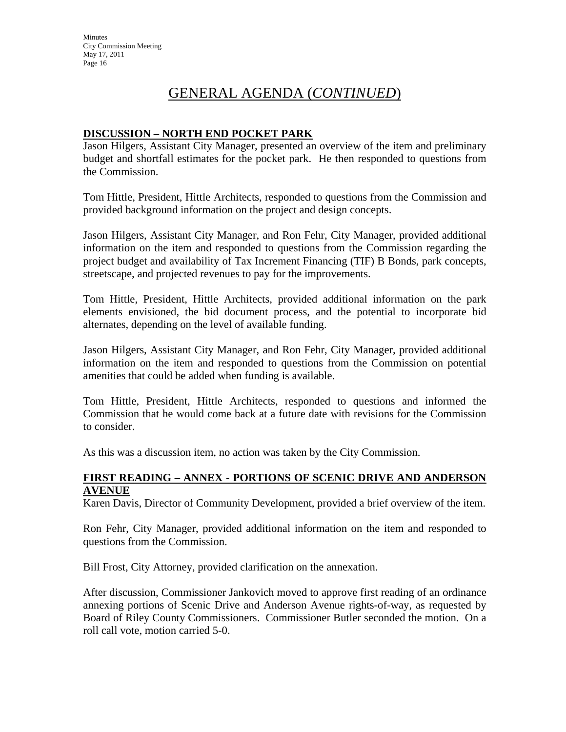### **DISCUSSION – NORTH END POCKET PARK**

Jason Hilgers, Assistant City Manager, presented an overview of the item and preliminary budget and shortfall estimates for the pocket park. He then responded to questions from the Commission.

Tom Hittle, President, Hittle Architects, responded to questions from the Commission and provided background information on the project and design concepts.

Jason Hilgers, Assistant City Manager, and Ron Fehr, City Manager, provided additional information on the item and responded to questions from the Commission regarding the project budget and availability of Tax Increment Financing (TIF) B Bonds, park concepts, streetscape, and projected revenues to pay for the improvements.

Tom Hittle, President, Hittle Architects, provided additional information on the park elements envisioned, the bid document process, and the potential to incorporate bid alternates, depending on the level of available funding.

Jason Hilgers, Assistant City Manager, and Ron Fehr, City Manager, provided additional information on the item and responded to questions from the Commission on potential amenities that could be added when funding is available.

Tom Hittle, President, Hittle Architects, responded to questions and informed the Commission that he would come back at a future date with revisions for the Commission to consider.

As this was a discussion item, no action was taken by the City Commission.

#### **FIRST READING – ANNEX - PORTIONS OF SCENIC DRIVE AND ANDERSON AVENUE**

Karen Davis, Director of Community Development, provided a brief overview of the item.

Ron Fehr, City Manager, provided additional information on the item and responded to questions from the Commission.

Bill Frost, City Attorney, provided clarification on the annexation.

After discussion, Commissioner Jankovich moved to approve first reading of an ordinance annexing portions of Scenic Drive and Anderson Avenue rights-of-way, as requested by Board of Riley County Commissioners. Commissioner Butler seconded the motion. On a roll call vote, motion carried 5-0.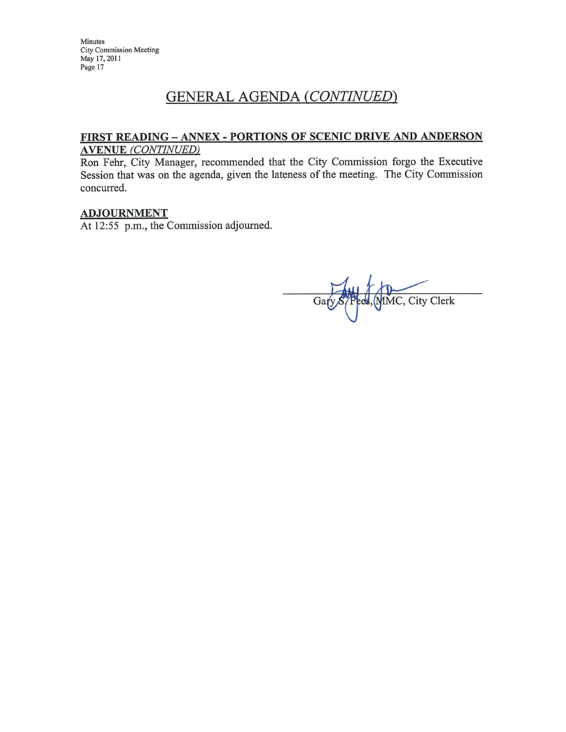### FIRST READING - ANNEX - PORTIONS OF SCENIC DRIVE AND ANDERSON **AVENUE (CONTINUED)**

Ron Fehr, City Manager, recommended that the City Commission forgo the Executive Session that was on the agenda, given the lateness of the meeting. The City Commission concurred.

#### **ADJOURNMENT**

At 12:55 p.m., the Commission adjourned.

Pees, MMC, City Clerk Gary